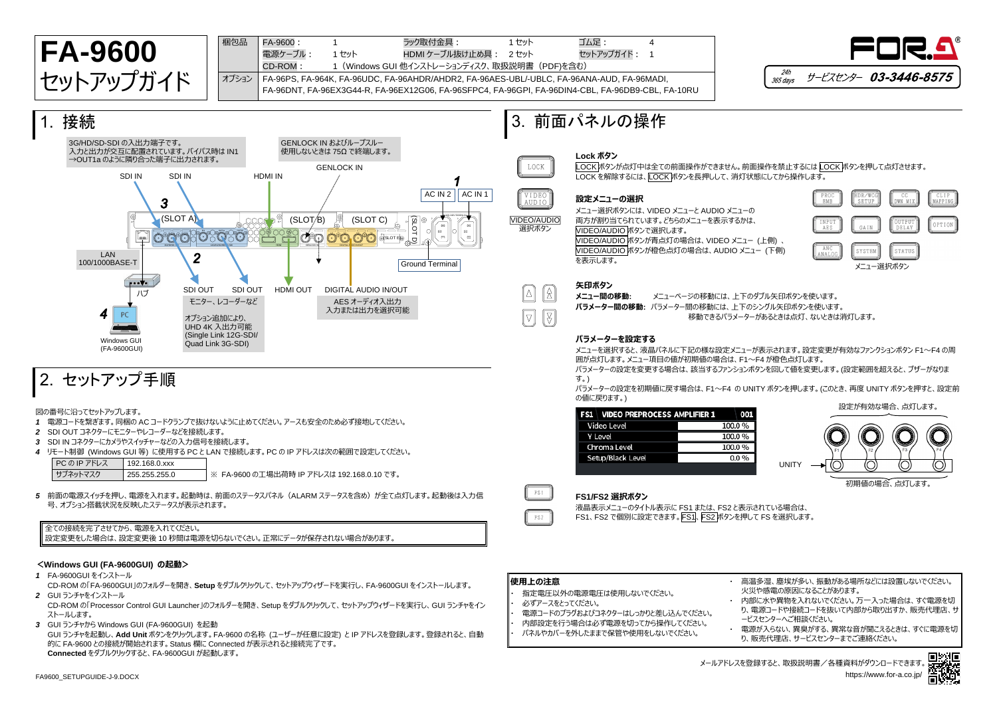

GUI ランチャを起動し、**Add Unit** ボタンをクリックします。FA-9600 の名称 (ユーザーが任意に設定) と IP アドレスを登録します。登録されると、自動 的に FA-9600 との接続が開始されます。Status 欄に Connected が表示されると接続完了です。 **Connected** をダブルクリックすると、FA-9600GUI が起動します。



り、販売代理店、サービスセンターまでご連絡ください。